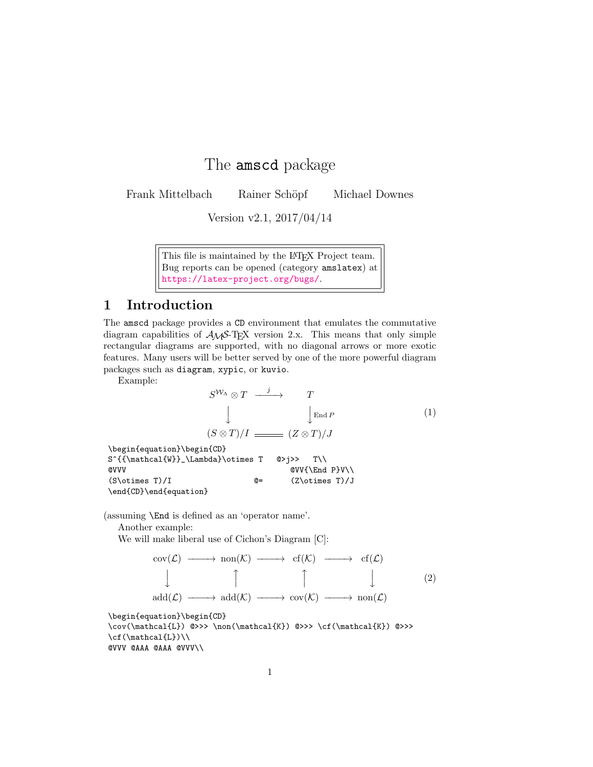## The amscd package

Frank Mittelbach Rainer Schöpf Michael Downes

Version v2.1, 2017/04/14

This file is maintained by the LAT<sub>E</sub>X Project team. Bug reports can be opened (category amslatex) at <https://latex-project.org/bugs/>.

## 1 Introduction

The amscd package provides a CD environment that emulates the commutative diagram capabilities of  $A\mathcal{M}S$ -TEX version 2.x. This means that only simple rectangular diagrams are supported, with no diagonal arrows or more exotic features. Many users will be better served by one of the more powerful diagram packages such as diagram, xypic, or kuvio.

Example:

$$
S^{W_{\Lambda}} \otimes T \xrightarrow{j} T
$$
  
\n
$$
\downarrow \qquad \qquad \downarrow_{\text{End }P}
$$
  
\n
$$
(S \otimes T)/I \xrightarrow{Z \otimes T}/J
$$
  
\n
$$
(1)
$$

\begin{equation}\begin{CD}  $S^{{\mathrm{W}}_\Lambda}\otimes T$  @>j>> T\\  $\texttt{QVVV}$   $\texttt{QVV}$   $\texttt{QVV}$  $(S\otimes T)/I$   $@=$   $(Z\otimes T)/J$ \end{CD}\end{equation}

(assuming \End is defined as an 'operator name'.

Another example:

We will make liberal use of Cichon's Diagram [C]:

$$
\begin{array}{cccc}\n\text{cov}(\mathcal{L}) & \longrightarrow & \text{non}(\mathcal{K}) & \longrightarrow & \text{cf}(\mathcal{K}) & \longrightarrow & \text{cf}(\mathcal{L}) \\
\downarrow & \uparrow & \uparrow & \downarrow & \downarrow & (2) \\
\text{add}(\mathcal{L}) & \longrightarrow & \text{add}(\mathcal{K}) & \longrightarrow & \text{cov}(\mathcal{K}) & \longrightarrow & \text{non}(\mathcal{L})\n\end{array}
$$

\begin{equation}\begin{CD}

 $\label{lem:conv} $$\cov(\mathcal{L}) @>>> \non(\mathcal{K}) @>>> \cf(\mathcal{K}) @>>>$  $\cif(\mathcal{L})\$ @VVV @AAA @AAA @VVV\\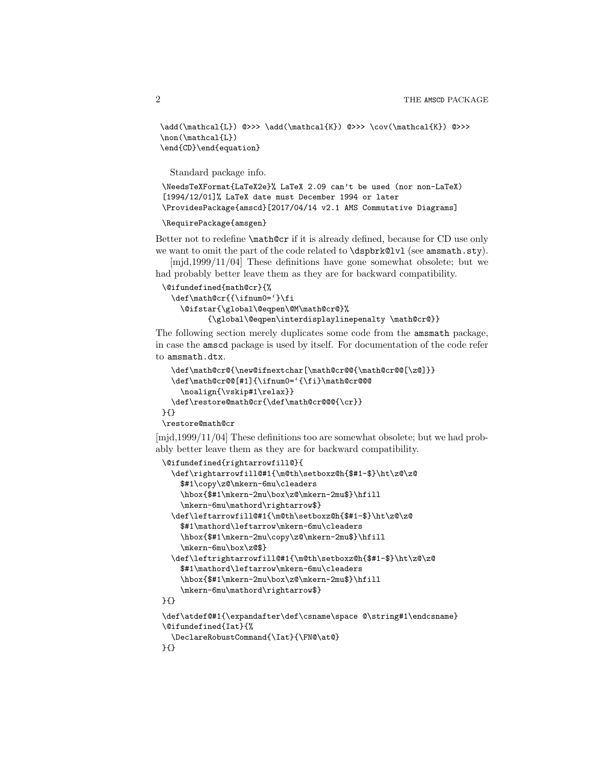```
\add(\mathcal{L}) @>>> \add(\mathcal{K}) @>>> \cov(\mathcal{K}) @>>>
\non(\mathcal{L})
\end{CD}\end{equation}
```
Standard package info.

```
\NeedsTeXFormat{LaTeX2e}% LaTeX 2.09 can't be used (nor non-LaTeX)
[1994/12/01]% LaTeX date must December 1994 or later
\ProvidesPackage{amscd}[2017/04/14 v2.1 AMS Commutative Diagrams]
```

```
\RequirePackage{amsgen}
```
Better not to redefine \math@cr if it is already defined, because for CD use only we want to omit the part of the code related to **\dspbrk@lvl** (see amsmath.sty).

[mjd,1999/11/04] These definitions have gone somewhat obsolete; but we had probably better leave them as they are for backward compatibility.

```
\@ifundefined{math@cr}{%
 \def\math@cr{{\ifnum0='}\fi
   \@ifstar{\global\@eqpen\@M\math@cr@}%
          {\global\@eqpen\interdisplaylinepenalty \math@cr@}}
```
The following section merely duplicates some code from the amsmath package, in case the amscd package is used by itself. For documentation of the code refer to amsmath.dtx.

```
\def\math@cr@{\new@ifnextchar[\math@cr@@{\math@cr@@[\z@]}}
 \def\math@cr@@[#1]{\ifnum0='{\fi}\math@cr@@@
    \noalign{\vskip#1\relax}}
  \def\restore@math@cr{\def\math@cr@@@{\cr}}
}{}
```
\restore@math@cr

[mjd,1999/11/04] These definitions too are somewhat obsolete; but we had probably better leave them as they are for backward compatibility.

```
\@ifundefined{rightarrowfill@}{
  \def\rightarrowfill@#1{\m@th\setboxz@h{$#1-$}\ht\z@\z@
    $#1\copy\z@\mkern-6mu\cleaders
    \hbox{$#1\mkern-2mu\box\z@\mkern-2mu$}\hfill
    \mkern-6mu\mathord\rightarrow$}
  \def\leftarrowfill@#1{\m@th\setboxz@h{$#1-$}\ht\z@\z@
    $#1\mathord\leftarrow\mkern-6mu\cleaders
    \hbox{$#1\mkern-2mu\copy\z@\mkern-2mu$}\hfill
    \mkern-6mu\box\z@$}
  \def\leftrightarrowfill@#1{\m@th\setboxz@h{$#1-$}\ht\z@\z@
    $#1\mathord\leftarrow\mkern-6mu\cleaders
    \hbox{$#1\mkern-2mu\box\z@\mkern-2mu$}\hfill
    \mkern-6mu\mathord\rightarrow$}
}{}
\def\atdef@#1{\expandafter\def\csname\space @\string#1\endcsname}
```

```
\@ifundefined{Iat}{%
```

```
\DeclareRobustCommand{\Iat}{\FN@\at@}
```

```
}{}
```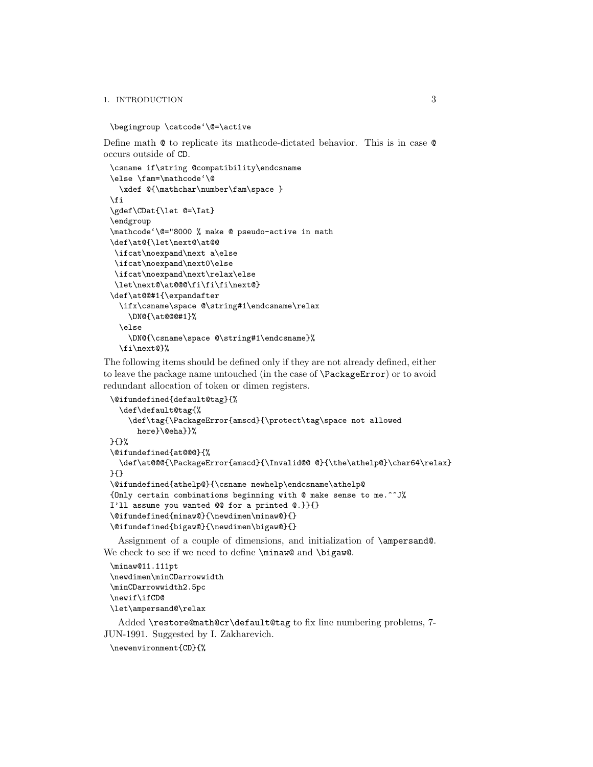## 1. INTRODUCTION 3

```
\begingroup \catcode'\@=\active
```
Define math @ to replicate its mathcode-dictated behavior. This is in case @ occurs outside of CD.

```
\csname if\string @compatibility\endcsname
\else \fam=\mathcode'\@
  \xdef \{\mathcal{C}\math\fi
\gdef\CDat{\let @=\Iat}
\endgroup
\mathcode'\@="8000 % make @ pseudo-active in math
\def\at@{\let\next@\at@@
\ifcat\noexpand\next a\else
\ifcat\noexpand\next0\else
\ifcat\noexpand\next\relax\else
\let\next@\at@@@\fi\fi\fi\next@}
\def\at@@#1{\expandafter
 \ifx\csname\space @\string#1\endcsname\relax
    \DN@{\at@@@#1}%
  \else
    \DN@{\csname\space @\string#1\endcsname}%
 \fi\next@}%
```
The following items should be defined only if they are not already defined, either to leave the package name untouched (in the case of \PackageError) or to avoid redundant allocation of token or dimen registers.

```
\@ifundefined{default@tag}{%
  \def\default@tag{%
    \def\tag{\PackageError{amscd}{\protect\tag\space not allowed
      here}\@eha}}%
}{}%
\@ifundefined{at@@@}{%
  \def\at@@@{\PackageError{amscd}{\Invalid@@@}{\the\athelp@}\char64\relax}
}{}
\@ifundefined{athelp@}{\csname newhelp\endcsname\athelp@
{Only certain combinations beginning with @ make sense to me.^^J%
I'll assume you wanted @@ for a printed @.}}{}
\@ifundefined{minaw@}{\newdimen\minaw@}{}
\@ifundefined{bigaw@}{\newdimen\bigaw@}{}
```
Assignment of a couple of dimensions, and initialization of \ampersand@. We check to see if we need to define \minaw@ and \bigaw@.

```
\minaw@11.111pt
\newdimen\minCDarrowwidth
\minCDarrowwidth2.5pc
\newif\ifCD@
\let\ampersand@\relax
```
Added \restore@math@cr\default@tag to fix line numbering problems, 7- JUN-1991. Suggested by I. Zakharevich.

```
\newenvironment{CD}{%
```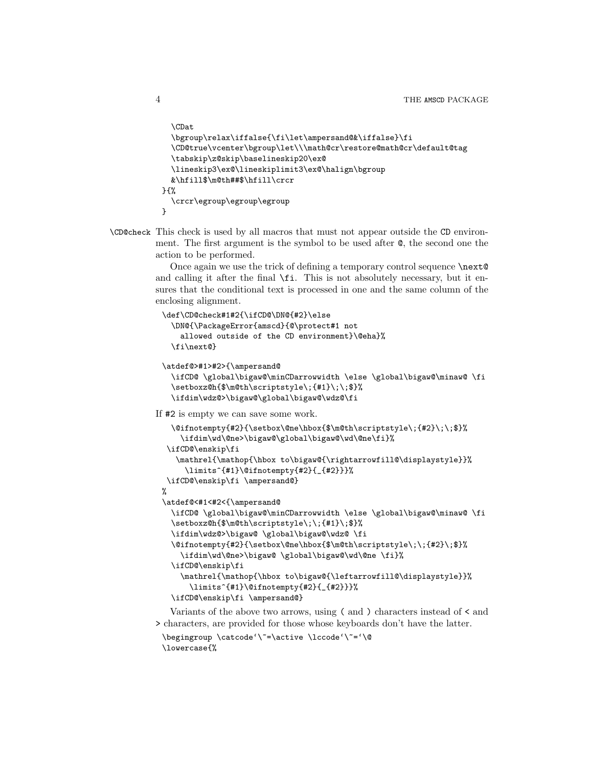```
\CDat
  \bgroup\relax\iffalse{\fi\let\ampersand@&\iffalse}\fi
  \CD@true\vcenter\bgroup\let\\\math@cr\restore@math@cr\default@tag
 \tabskip\z@skip\baselineskip20\ex@
 \lineskip3\ex@\lineskiplimit3\ex@\halign\bgroup
 &\hfill$\m@th##$\hfill\crcr
}{%
  \crcr\egroup\egroup\egroup
}
```
\CD@check This check is used by all macros that must not appear outside the CD environment. The first argument is the symbol to be used after @, the second one the action to be performed.

> Once again we use the trick of defining a temporary control sequence **\next**<sup>@</sup> and calling it after the final  $\f{fi}$ . This is not absolutely necessary, but it ensures that the conditional text is processed in one and the same column of the enclosing alignment.

```
\def\CD@check#1#2{\ifCD@\DN@{#2}\else
 \DN@{\PackageError{amscd}{@\protect#1 not
   allowed outside of the CD environment}\@eha}%
 \fi\next@}
```

```
\atdef@>#1>#2>{\ampersand@
```

```
\ifCD@ \global\bigaw@\minCDarrowwidth \else \global\bigaw@\minaw@ \fi
\setboxz@h{$\m@th\scriptstyle\;{#1}\;\;$}%
\ifdim\wdz@>\bigaw@\global\bigaw@\wdz@\fi
```
If #2 is empty we can save some work.

```
\@ifnotempty{#2}{\setbox\@ne\hbox{$\m@th\scriptstyle\;{#2}\;\;$}%
    \ifdim\wd\@ne>\bigaw@\global\bigaw@\wd\@ne\fi}%
\ifCD@\enskip\fi
   \mathrel{\mathop{\hbox to\bigaw@{\rightarrowfill@\displaystyle}}%
    \limits^{#1}\@ifnotempty{#2}{_{#2}}}%
\ifCD@\enskip\fi \ampersand@}
%
\atdef@<#1<#2<{\ampersand@
 \ifCD@ \global\bigaw@\minCDarrowwidth \else \global\bigaw@\minaw@ \fi
 \setboxz@h{$\m@th\scriptstyle\;\;{#1}\;$}%
 \ifdim\wdz@>\bigaw@ \global\bigaw@\wdz@ \fi
 \@ifnotempty{#2}{\setbox\@ne\hbox{$\m@th\scriptstyle\;\;{#2}\;$}%
   \ifdim\wd\@ne>\bigaw@ \global\bigaw@\wd\@ne \fi}%
 \ifCD@\enskip\fi
    \mathrel{\mathop{\hbox to\bigaw@{\leftarrowfill@\displaystyle}}%
      \limits^{#1}\@ifnotempty{#2}{_{#2}}}%
 \ifCD@\enskip\fi \ampersand@}
```
Variants of the above two arrows, using ( and ) characters instead of < and > characters, are provided for those whose keyboards don't have the latter.

```
\begingroup \catcode'\~=\active \lccode'\~='\@
\lowercase{%
```